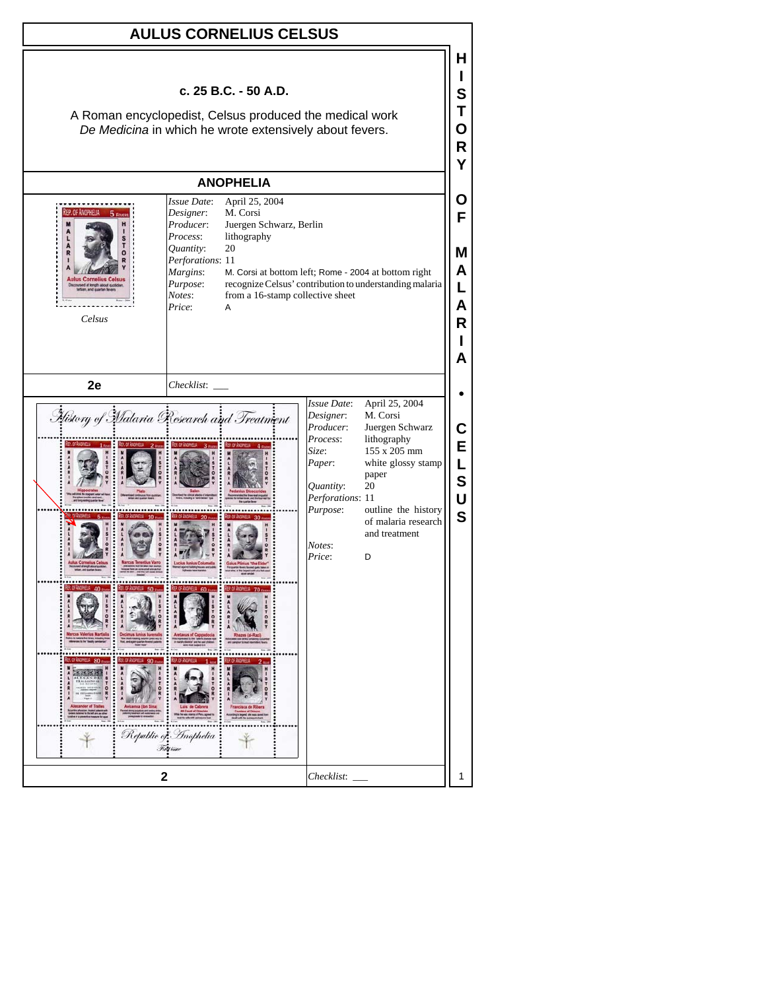| <b>AULUS CORNELIUS CELSUS</b>                                                                                                              |                                                                                                                                                                                                                                                       |                                                                                                                                                                                                                                                                                                                                |                                      |  |  |
|--------------------------------------------------------------------------------------------------------------------------------------------|-------------------------------------------------------------------------------------------------------------------------------------------------------------------------------------------------------------------------------------------------------|--------------------------------------------------------------------------------------------------------------------------------------------------------------------------------------------------------------------------------------------------------------------------------------------------------------------------------|--------------------------------------|--|--|
| c. 25 B.C. - 50 A.D.<br>A Roman encyclopedist, Celsus produced the medical work<br>De Medicina in which he wrote extensively about fevers. |                                                                                                                                                                                                                                                       |                                                                                                                                                                                                                                                                                                                                |                                      |  |  |
| <b>ANOPHELIA</b>                                                                                                                           |                                                                                                                                                                                                                                                       |                                                                                                                                                                                                                                                                                                                                |                                      |  |  |
| EP. OF ANOPHELIA<br>$-5$ From<br>Celsus                                                                                                    | Issue Date:<br>April 25, 2004<br>M. Corsi<br>Designer:<br>Producer:<br>Juergen Schwarz, Berlin<br>Process:<br>lithography<br>Quantity:<br>20<br>Perforations: 11<br>Margins:<br>Purpose:<br>Notes:<br>from a 16-stamp collective sheet<br>Price:<br>A | M. Corsi at bottom left; Rome - 2004 at bottom right<br>recognize Celsus' contribution to understanding malaria                                                                                                                                                                                                                | Ő<br>F<br>м<br>A<br>L<br>A<br>R<br>A |  |  |
| 2e                                                                                                                                         | Checklist:                                                                                                                                                                                                                                            |                                                                                                                                                                                                                                                                                                                                |                                      |  |  |
|                                                                                                                                            | History of Malaria Research and Treatment<br>Republic of Inophelia<br>First bine                                                                                                                                                                      | Issue Date:<br>April 25, 2004<br>Designer:<br>M. Corsi<br>Producer:<br>Juergen Schwarz<br>Process:<br>lithography<br>155 x 205 mm<br>Size:<br>Paper:<br>white glossy stamp<br>paper<br>20<br>Quantity:<br>Perforations: 11<br>outline the history<br>Purpose:<br>of malaria research<br>and treatment<br>Notes:<br>Price:<br>D | E<br>L<br>S<br>Ù<br>S                |  |  |
| $\mathbf{2}$                                                                                                                               |                                                                                                                                                                                                                                                       | Checklist:                                                                                                                                                                                                                                                                                                                     | 1                                    |  |  |